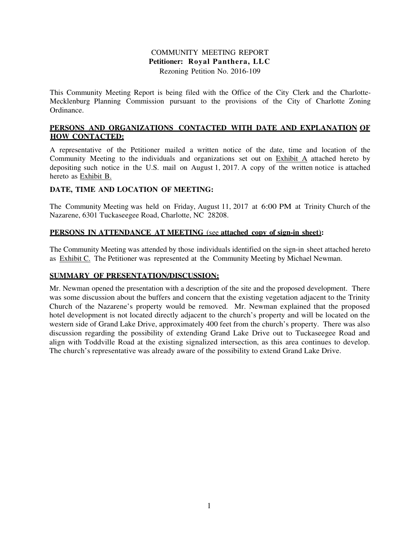## COMMUNITY MEETING REPORT **Petitioner: Royal Panthera, LLC**  Rezoning Petition No. 2016-109

This Community Meeting Report is being filed with the Office of the City Clerk and the Charlotte-Mecklenburg Planning Commission pursuant to the provisions of the City of Charlotte Zoning Ordinance.

## **PERSONS AND ORGANIZATIONS CONTACTED WITH DATE AND EXPLANATION OF HOW CONTACTED:**

A representative of the Petitioner mailed a written notice of the date, time and location of the Community Meeting to the individuals and organizations set out on Exhibit A attached hereto by depositing such notice in the U.S. mail on August 1, 2017. A copy of the written notice is attached hereto as Exhibit B.

## **DATE, TIME AND LOCATION OF MEETING:**

The Community Meeting was held on Friday, August 11, 2017 at 6:00 PM at Trinity Church of the Nazarene, 6301 Tuckaseegee Road, Charlotte, NC 28208.

#### **PERSONS IN ATTENDANCE AT MEETING** (see **attached copy of sign-in sheet):**

The Community Meeting was attended by those individuals identified on the sign-in sheet attached hereto as Exhibit C. The Petitioner was represented at the Community Meeting by Michael Newman.

#### **SUMMARY OF PRESENTATION/DISCUSSION:**

Mr. Newman opened the presentation with a description of the site and the proposed development. There was some discussion about the buffers and concern that the existing vegetation adjacent to the Trinity Church of the Nazarene's property would be removed. Mr. Newman explained that the proposed hotel development is not located directly adjacent to the church's property and will be located on the western side of Grand Lake Drive, approximately 400 feet from the church's property. There was also discussion regarding the possibility of extending Grand Lake Drive out to Tuckaseegee Road and align with Toddville Road at the existing signalized intersection, as this area continues to develop. The church's representative was already aware of the possibility to extend Grand Lake Drive.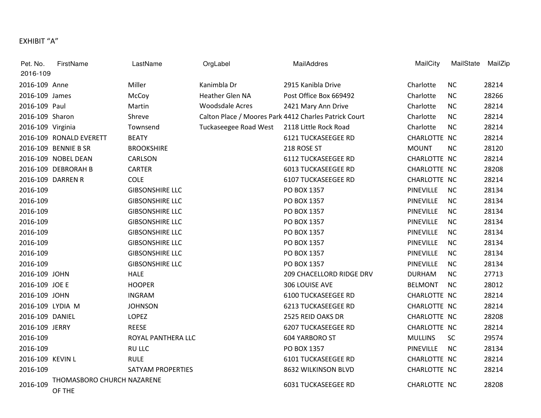# EXHIBIT "A"

| Pet. No.          | FirstName                            | LastName               | OrgLabel               | MailAddres                                            | MailCity         | MailState | MailZip |
|-------------------|--------------------------------------|------------------------|------------------------|-------------------------------------------------------|------------------|-----------|---------|
| 2016-109          |                                      |                        |                        |                                                       |                  |           |         |
| 2016-109 Anne     |                                      | Miller                 | Kanimbla Dr            | 2915 Kanibla Drive                                    | Charlotte        | <b>NC</b> | 28214   |
| 2016-109 James    |                                      | McCoy                  | Heather Glen NA        | Post Office Box 669492                                | Charlotte        | <b>NC</b> | 28266   |
| 2016-109 Paul     |                                      | Martin                 | <b>Woodsdale Acres</b> | 2421 Mary Ann Drive                                   | Charlotte        | <b>NC</b> | 28214   |
| 2016-109 Sharon   |                                      | Shreve                 |                        | Calton Place / Moores Park 4412 Charles Patrick Court | Charlotte        | <b>NC</b> | 28214   |
| 2016-109 Virginia |                                      | Townsend               | Tuckaseegee Road West  | 2118 Little Rock Road                                 | Charlotte        | <b>NC</b> | 28214   |
|                   | 2016-109 RONALD EVERETT              | <b>BEATY</b>           |                        | <b>6121 TUCKASEEGEE RD</b>                            | CHARLOTTE NC     |           | 28214   |
|                   | 2016-109 BENNIE B SR                 | <b>BROOKSHIRE</b>      |                        | 218 ROSE ST                                           | <b>MOUNT</b>     | <b>NC</b> | 28120   |
|                   | 2016-109 NOBEL DEAN                  | CARLSON                |                        | <b>6112 TUCKASEEGEE RD</b>                            | CHARLOTTE NC     |           | 28214   |
|                   | 2016-109 DEBRORAH B                  | <b>CARTER</b>          |                        | <b>6013 TUCKASEEGEE RD</b>                            | CHARLOTTE NC     |           | 28208   |
|                   | 2016-109 DARREN R                    | COLE                   |                        | <b>6107 TUCKASEEGEE RD</b>                            | CHARLOTTE NC     |           | 28214   |
| 2016-109          |                                      | <b>GIBSONSHIRE LLC</b> |                        | PO BOX 1357                                           | <b>PINEVILLE</b> | <b>NC</b> | 28134   |
| 2016-109          |                                      | <b>GIBSONSHIRE LLC</b> |                        | PO BOX 1357                                           | PINEVILLE        | <b>NC</b> | 28134   |
| 2016-109          |                                      | <b>GIBSONSHIRE LLC</b> |                        | PO BOX 1357                                           | PINEVILLE        | <b>NC</b> | 28134   |
| 2016-109          |                                      | <b>GIBSONSHIRE LLC</b> |                        | PO BOX 1357                                           | PINEVILLE        | <b>NC</b> | 28134   |
| 2016-109          |                                      | <b>GIBSONSHIRE LLC</b> |                        | PO BOX 1357                                           | PINEVILLE        | <b>NC</b> | 28134   |
| 2016-109          |                                      | <b>GIBSONSHIRE LLC</b> |                        | PO BOX 1357                                           | PINEVILLE        | <b>NC</b> | 28134   |
| 2016-109          |                                      | <b>GIBSONSHIRE LLC</b> |                        | PO BOX 1357                                           | <b>PINEVILLE</b> | <b>NC</b> | 28134   |
| 2016-109          |                                      | <b>GIBSONSHIRE LLC</b> |                        | PO BOX 1357                                           | PINEVILLE        | NC        | 28134   |
| 2016-109 JOHN     |                                      | <b>HALE</b>            |                        | 209 CHACELLORD RIDGE DRV                              | <b>DURHAM</b>    | <b>NC</b> | 27713   |
| 2016-109 JOE E    |                                      | <b>HOOPER</b>          |                        | 306 LOUISE AVE                                        | <b>BELMONT</b>   | <b>NC</b> | 28012   |
| 2016-109 JOHN     |                                      | <b>INGRAM</b>          |                        | <b>6100 TUCKASEEGEE RD</b>                            | CHARLOTTE NC     |           | 28214   |
| 2016-109 LYDIA M  |                                      | <b>JOHNSON</b>         |                        | <b>6213 TUCKASEEGEE RD</b>                            | CHARLOTTE NC     |           | 28214   |
| 2016-109 DANIEL   |                                      | LOPEZ                  |                        | 2525 REID OAKS DR                                     | CHARLOTTE NC     |           | 28208   |
| 2016-109 JERRY    |                                      | <b>REESE</b>           |                        | <b>6207 TUCKASEEGEE RD</b>                            | CHARLOTTE NC     |           | 28214   |
| 2016-109          |                                      | ROYAL PANTHERA LLC     |                        | 604 YARBORO ST                                        | <b>MULLINS</b>   | SC        | 29574   |
| 2016-109          |                                      | <b>RU LLC</b>          |                        | PO BOX 1357                                           | <b>PINEVILLE</b> | <b>NC</b> | 28134   |
| 2016-109 KEVIN L  |                                      | <b>RULE</b>            |                        | <b>6101 TUCKASEEGEE RD</b>                            | CHARLOTTE NC     |           | 28214   |
| 2016-109          |                                      | SATYAM PROPERTIES      |                        | 8632 WILKINSON BLVD                                   | CHARLOTTE NC     |           | 28214   |
| 2016-109          | THOMASBORO CHURCH NAZARENE<br>OF THE |                        |                        | <b>6031 TUCKASEEGEE RD</b>                            | CHARLOTTE NC     |           | 28208   |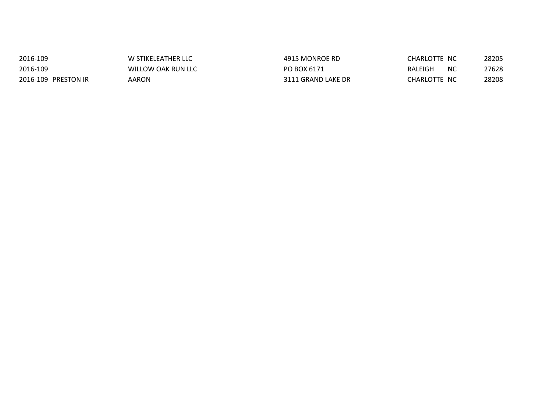| 2016-109            | W STIKELEATHER LLC | 4915 MONROE RD     | CHARLOTTE NC    | 28205 |
|---------------------|--------------------|--------------------|-----------------|-------|
| 2016-109            | WILLOW OAK RUN LLC | PO BOX 6171        | RALEIGH<br>- NC | 27628 |
| 2016-109 PRESTON IR | AARON              | 3111 GRAND LAKE DR | CHARLOTTE NC    | 28208 |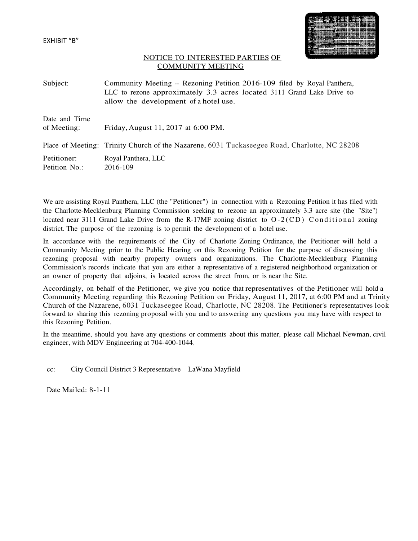

#### NOTICE TO INTERESTED PARTIES OF COMMUNITY MEETING

Subject: Community Meeting -- Rezoning Petition 2016-109 filed by Royal Panthera, LLC to rezone approximately 3.3 acres located 3111 Grand Lake Drive to allow the development of a hotel use.

| Date and Time<br>of Meeting: | Friday, August 11, 2017 at 6:00 PM.                                                          |
|------------------------------|----------------------------------------------------------------------------------------------|
|                              | Place of Meeting: Trinity Church of the Nazarene, 6031 Tuckaseegee Road, Charlotte, NC 28208 |
| Petitioner:<br>Petition No.: | Royal Panthera, LLC<br>2016-109                                                              |

We are assisting Royal Panthera, LLC (the "Petitioner") in connection with a Rezoning Petition it has filed with the Charlotte-Mecklenburg Planning Commission seeking to rezone an approximately 3.3 acre site (the "Site") located near 3111 Grand Lake Drive from the R-17MF zoning district to  $O-2$  (CD) Conditional zoning district. The purpose of the rezoning is to permit the development of a hotel use.

In accordance with the requirements of the City of Charlotte Zoning Ordinance, the Petitioner will hold a Community Meeting prior to the Public Hearing on this Rezoning Petition for the purpose of discussing this rezoning proposal with nearby property owners and organizations. The Charlotte-Mecklenburg Planning Commission's records indicate that you are either a representative of a registered neighborhood organization or an owner of property that adjoins, is located across the street from, or is near the Site.

Accordingly, on behalf of the Petitioner, we give you notice that representatives of the Petitioner will hold a Community Meeting regarding this Rezoning Petition on Friday, August 11, 2017, at 6:00 PM and at Trinity Church of the Nazarene, 6031 Tuckaseegee Road, Charlotte, NC 28208. The Petitioner's representatives look forward to sharing this rezoning proposal with you and to answering any questions you may have with respect to this Rezoning Petition.

In the meantime, should you have any questions or comments about this matter, please call Michael Newman, civil engineer, with MDV Engineering at 704-400-1044.

cc: City Council District 3 Representative – LaWana Mayfield

Date Mailed: 8-1-11